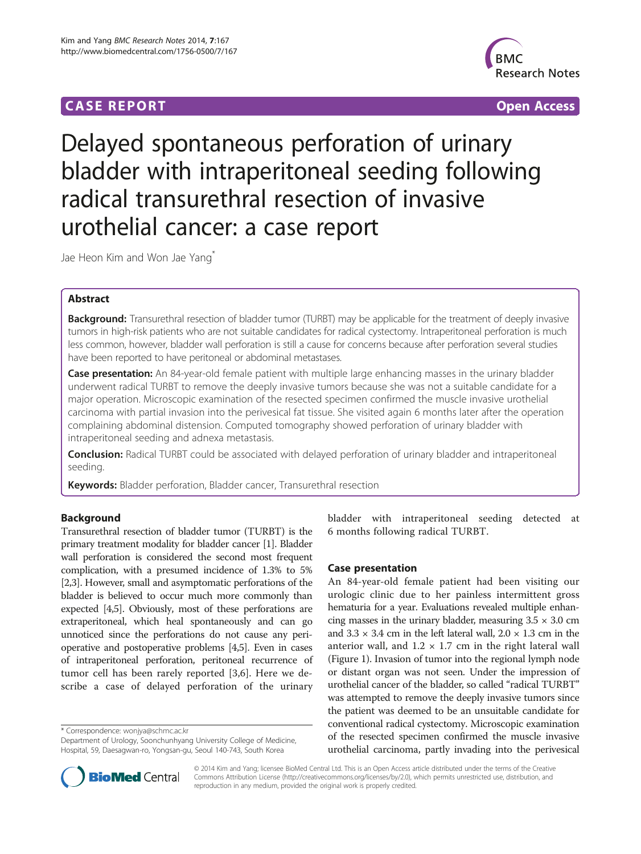## **CASE REPORT CASE REPORT CASE ACCESS**



# Delayed spontaneous perforation of urinary bladder with intraperitoneal seeding following radical transurethral resection of invasive urothelial cancer: a case report

Jae Heon Kim and Won Jae Yang<sup>\*</sup>

## Abstract

Background: Transurethral resection of bladder tumor (TURBT) may be applicable for the treatment of deeply invasive tumors in high-risk patients who are not suitable candidates for radical cystectomy. Intraperitoneal perforation is much less common, however, bladder wall perforation is still a cause for concerns because after perforation several studies have been reported to have peritoneal or abdominal metastases.

Case presentation: An 84-year-old female patient with multiple large enhancing masses in the urinary bladder underwent radical TURBT to remove the deeply invasive tumors because she was not a suitable candidate for a major operation. Microscopic examination of the resected specimen confirmed the muscle invasive urothelial carcinoma with partial invasion into the perivesical fat tissue. She visited again 6 months later after the operation complaining abdominal distension. Computed tomography showed perforation of urinary bladder with intraperitoneal seeding and adnexa metastasis.

**Conclusion:** Radical TURBT could be associated with delayed perforation of urinary bladder and intraperitoneal seeding.

Keywords: Bladder perforation, Bladder cancer, Transurethral resection

## **Background**

Transurethral resection of bladder tumor (TURBT) is the primary treatment modality for bladder cancer [[1](#page-2-0)]. Bladder wall perforation is considered the second most frequent complication, with a presumed incidence of 1.3% to 5% [[2,3](#page-2-0)]. However, small and asymptomatic perforations of the bladder is believed to occur much more commonly than expected [\[4,5](#page-2-0)]. Obviously, most of these perforations are extraperitoneal, which heal spontaneously and can go unnoticed since the perforations do not cause any perioperative and postoperative problems [\[4,5\]](#page-2-0). Even in cases of intraperitoneal perforation, peritoneal recurrence of tumor cell has been rarely reported [[3,6](#page-2-0)]. Here we describe a case of delayed perforation of the urinary

\* Correspondence: [wonjya@schmc.ac.kr](mailto:wonjya@schmc.ac.kr)



## Case presentation

An 84-year-old female patient had been visiting our urologic clinic due to her painless intermittent gross hematuria for a year. Evaluations revealed multiple enhancing masses in the urinary bladder, measuring  $3.5 \times 3.0 \text{ cm}$ and  $3.3 \times 3.4$  cm in the left lateral wall,  $2.0 \times 1.3$  cm in the anterior wall, and  $1.2 \times 1.7$  cm in the right lateral wall (Figure [1](#page-1-0)). Invasion of tumor into the regional lymph node or distant organ was not seen. Under the impression of urothelial cancer of the bladder, so called "radical TURBT" was attempted to remove the deeply invasive tumors since the patient was deemed to be an unsuitable candidate for conventional radical cystectomy. Microscopic examination of the resected specimen confirmed the muscle invasive urothelial carcinoma, partly invading into the perivesical



© 2014 Kim and Yang; licensee BioMed Central Ltd. This is an Open Access article distributed under the terms of the Creative Commons Attribution License [\(http://creativecommons.org/licenses/by/2.0\)](http://creativecommons.org/licenses/by/2.0), which permits unrestricted use, distribution, and reproduction in any medium, provided the original work is properly credited.

Department of Urology, Soonchunhyang University College of Medicine, Hospital, 59, Daesagwan-ro, Yongsan-gu, Seoul 140-743, South Korea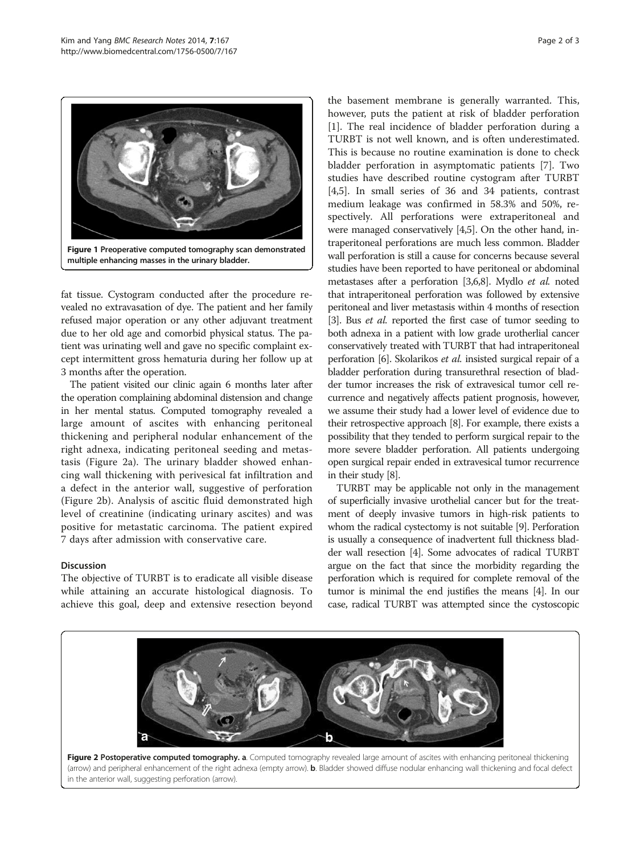<span id="page-1-0"></span>

fat tissue. Cystogram conducted after the procedure revealed no extravasation of dye. The patient and her family refused major operation or any other adjuvant treatment due to her old age and comorbid physical status. The patient was urinating well and gave no specific complaint except intermittent gross hematuria during her follow up at 3 months after the operation.

The patient visited our clinic again 6 months later after the operation complaining abdominal distension and change in her mental status. Computed tomography revealed a large amount of ascites with enhancing peritoneal thickening and peripheral nodular enhancement of the right adnexa, indicating peritoneal seeding and metastasis (Figure 2a). The urinary bladder showed enhancing wall thickening with perivesical fat infiltration and a defect in the anterior wall, suggestive of perforation (Figure 2b). Analysis of ascitic fluid demonstrated high level of creatinine (indicating urinary ascites) and was positive for metastatic carcinoma. The patient expired 7 days after admission with conservative care.

#### **Discussion**

The objective of TURBT is to eradicate all visible disease while attaining an accurate histological diagnosis. To achieve this goal, deep and extensive resection beyond

the basement membrane is generally warranted. This, however, puts the patient at risk of bladder perforation [[1\]](#page-2-0). The real incidence of bladder perforation during a TURBT is not well known, and is often underestimated. This is because no routine examination is done to check bladder perforation in asymptomatic patients [\[7\]](#page-2-0). Two studies have described routine cystogram after TURBT [[4,5\]](#page-2-0). In small series of 36 and 34 patients, contrast medium leakage was confirmed in 58.3% and 50%, respectively. All perforations were extraperitoneal and were managed conservatively [\[4,5\]](#page-2-0). On the other hand, intraperitoneal perforations are much less common. Bladder wall perforation is still a cause for concerns because several studies have been reported to have peritoneal or abdominal metastases after a perforation [\[3,6,8](#page-2-0)]. Mydlo et al. noted that intraperitoneal perforation was followed by extensive peritoneal and liver metastasis within 4 months of resection [[3](#page-2-0)]. Bus *et al.* reported the first case of tumor seeding to both adnexa in a patient with low grade urotherlial cancer conservatively treated with TURBT that had intraperitoneal perforation [\[6\]](#page-2-0). Skolarikos et al. insisted surgical repair of a bladder perforation during transurethral resection of bladder tumor increases the risk of extravesical tumor cell recurrence and negatively affects patient prognosis, however, we assume their study had a lower level of evidence due to their retrospective approach [[8\]](#page-2-0). For example, there exists a possibility that they tended to perform surgical repair to the more severe bladder perforation. All patients undergoing open surgical repair ended in extravesical tumor recurrence in their study [\[8](#page-2-0)].

TURBT may be applicable not only in the management of superficially invasive urothelial cancer but for the treatment of deeply invasive tumors in high-risk patients to whom the radical cystectomy is not suitable [\[9\]](#page-2-0). Perforation is usually a consequence of inadvertent full thickness bladder wall resection [[4](#page-2-0)]. Some advocates of radical TURBT argue on the fact that since the morbidity regarding the perforation which is required for complete removal of the tumor is minimal the end justifies the means [\[4](#page-2-0)]. In our case, radical TURBT was attempted since the cystoscopic